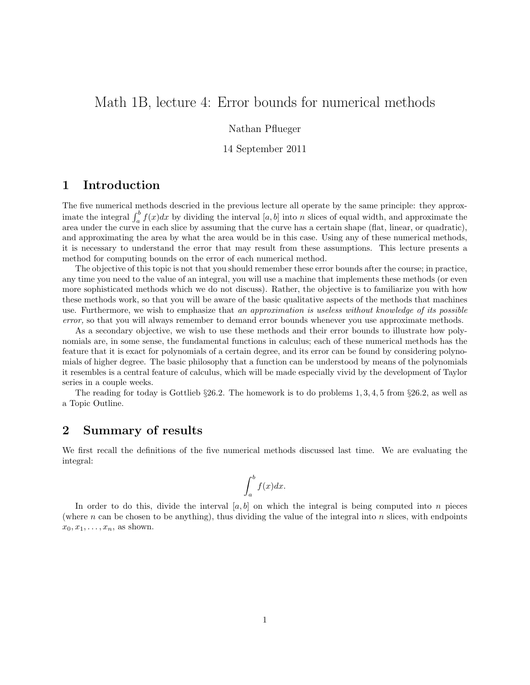# Math 1B, lecture 4: Error bounds for numerical methods

Nathan Pflueger

14 September 2011

## 1 Introduction

The five numerical methods descried in the previous lecture all operate by the same principle: they approximate the integral  $\int_a^b f(x)dx$  by dividing the interval  $[a, b]$  into n slices of equal width, and approximate the area under the curve in each slice by assuming that the curve has a certain shape (flat, linear, or quadratic), and approximating the area by what the area would be in this case. Using any of these numerical methods, it is necessary to understand the error that may result from these assumptions. This lecture presents a method for computing bounds on the error of each numerical method.

The objective of this topic is not that you should remember these error bounds after the course; in practice, any time you need to the value of an integral, you will use a machine that implements these methods (or even more sophisticated methods which we do not discuss). Rather, the objective is to familiarize you with how these methods work, so that you will be aware of the basic qualitative aspects of the methods that machines use. Furthermore, we wish to emphasize that an approximation is useless without knowledge of its possible error, so that you will always remember to demand error bounds whenever you use approximate methods.

As a secondary objective, we wish to use these methods and their error bounds to illustrate how polynomials are, in some sense, the fundamental functions in calculus; each of these numerical methods has the feature that it is exact for polynomials of a certain degree, and its error can be found by considering polynomials of higher degree. The basic philosophy that a function can be understood by means of the polynomials it resembles is a central feature of calculus, which will be made especially vivid by the development of Taylor series in a couple weeks.

The reading for today is Gottlieb  $\S 26.2$ . The homework is to do problems 1, 3, 4, 5 from  $\S 26.2$ , as well as a Topic Outline.

### 2 Summary of results

We first recall the definitions of the five numerical methods discussed last time. We are evaluating the integral:

$$
\int_{a}^{b} f(x)dx.
$$

In order to do this, divide the interval  $[a, b]$  on which the integral is being computed into n pieces (where n can be chosen to be anything), thus dividing the value of the integral into n slices, with endpoints  $x_0, x_1, \ldots, x_n$ , as shown.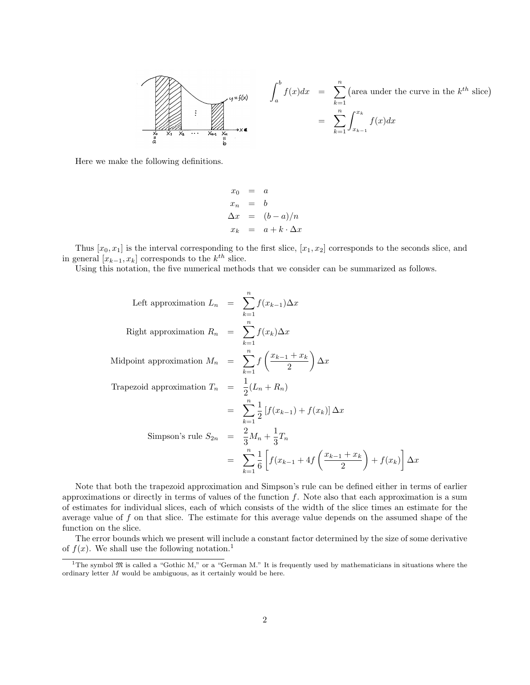$$
\int_{a}^{b} f(x)dx = \sum_{k=1}^{n} (\text{area under the curve in the } k^{th} \text{ slice})
$$
  
= 
$$
\sum_{k=1}^{n} \int_{x_{k-1}}^{x_k} f(x)dx
$$
  
= 
$$
\sum_{k=1}^{n} \int_{x_{k-1}}^{x_k} f(x)dx
$$

Here we make the following definitions.

$$
x_0 = a
$$
  
\n
$$
x_n = b
$$
  
\n
$$
\Delta x = (b-a)/n
$$
  
\n
$$
x_k = a+k \cdot \Delta x
$$

Thus  $[x_0, x_1]$  is the interval corresponding to the first slice,  $[x_1, x_2]$  corresponds to the seconds slice, and in general  $[x_{k-1}, x_k]$  corresponds to the  $k^{th}$  slice.

Using this notation, the five numerical methods that we consider can be summarized as follows.

Left approximation 
$$
L_n = \sum_{k=1}^{n} f(x_{k-1}) \Delta x
$$
  
\nRight approximation  $R_n = \sum_{k=1}^{n} f(x_k) \Delta x$   
\nMidpoint approximation  $M_n = \sum_{k=1}^{n} f\left(\frac{x_{k-1} + x_k}{2}\right) \Delta x$   
\nTrapezoid approximation  $T_n = \frac{1}{2}(L_n + R_n)$   
\n
$$
= \sum_{k=1}^{n} \frac{1}{2} [f(x_{k-1}) + f(x_k)] \Delta x
$$
\nSimpson's rule  $S_{2n} = \frac{2}{3} M_n + \frac{1}{3} T_n$   
\n
$$
= \sum_{k=1}^{n} \frac{1}{6} \left[ f(x_{k-1} + 4f\left(\frac{x_{k-1} + x_k}{2}\right) + f(x_k) \right] \Delta x
$$

Note that both the trapezoid approximation and Simpson's rule can be defined either in terms of earlier approximations or directly in terms of values of the function  $f$ . Note also that each approximation is a sum of estimates for individual slices, each of which consists of the width of the slice times an estimate for the average value of  $f$  on that slice. The estimate for this average value depends on the assumed shape of the function on the slice.

The error bounds which we present will include a constant factor determined by the size of some derivative of  $f(x)$ . We shall use the following notation.<sup>1</sup>

<sup>&</sup>lt;sup>1</sup>The symbol  $\mathfrak{M}$  is called a "Gothic M," or a "German M." It is frequently used by mathematicians in situations where the ordinary letter M would be ambiguous, as it certainly would be here.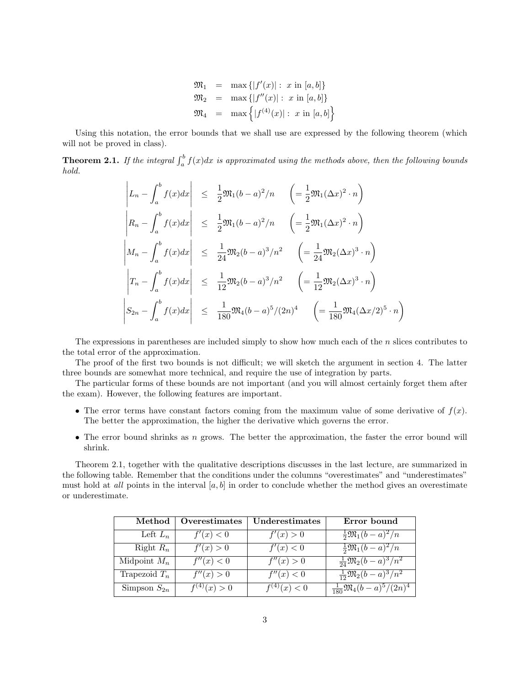$$
\mathfrak{M}_1 = \max \{|f'(x)| : x \text{ in } [a, b]\}
$$
\n
$$
\mathfrak{M}_2 = \max \{|f''(x)| : x \text{ in } [a, b]\}
$$
\n
$$
\mathfrak{M}_4 = \max \{|f^{(4)}(x)| : x \text{ in } [a, b]\}
$$

Using this notation, the error bounds that we shall use are expressed by the following theorem (which will not be proved in class).

**Theorem 2.1.** If the integral  $\int_a^b f(x)dx$  is approximated using the methods above, then the following bounds hold.

$$
\begin{vmatrix} L_n - \int_a^b f(x) dx \Big| & \leq \frac{1}{2} \mathfrak{M}_1(b-a)^2/n & \left( = \frac{1}{2} \mathfrak{M}_1(\Delta x)^2 \cdot n \right) \\ R_n - \int_a^b f(x) dx \Big| & \leq \frac{1}{2} \mathfrak{M}_1(b-a)^2/n & \left( = \frac{1}{2} \mathfrak{M}_1(\Delta x)^2 \cdot n \right) \\ M_n - \int_a^b f(x) dx \Big| & \leq \frac{1}{24} \mathfrak{M}_2(b-a)^3/n^2 & \left( = \frac{1}{24} \mathfrak{M}_2(\Delta x)^3 \cdot n \right) \\ T_n - \int_a^b f(x) dx \Big| & \leq \frac{1}{12} \mathfrak{M}_2(b-a)^3/n^2 & \left( = \frac{1}{12} \mathfrak{M}_2(\Delta x)^3 \cdot n \right) \\ S_{2n} - \int_a^b f(x) dx \Big| & \leq \frac{1}{180} \mathfrak{M}_4(b-a)^5/(2n)^4 & \left( = \frac{1}{180} \mathfrak{M}_4(\Delta x/2)^5 \cdot n \right)
$$

The expressions in parentheses are included simply to show how much each of the  $n$  slices contributes to the total error of the approximation.

The proof of the first two bounds is not difficult; we will sketch the argument in section 4. The latter three bounds are somewhat more technical, and require the use of integration by parts.

The particular forms of these bounds are not important (and you will almost certainly forget them after the exam). However, the following features are important.

- The error terms have constant factors coming from the maximum value of some derivative of  $f(x)$ . The better the approximation, the higher the derivative which governs the error.
- The error bound shrinks as  $n$  grows. The better the approximation, the faster the error bound will shrink.

Theorem 2.1, together with the qualitative descriptions discusses in the last lecture, are summarized in the following table. Remember that the conditions under the columns "overestimates" and "underestimates" must hold at *all* points in the interval  $[a, b]$  in order to conclude whether the method gives an overestimate or underestimate.

| Method           | Overestimates    | Underestimates   | Error bound                                  |
|------------------|------------------|------------------|----------------------------------------------|
| Left $L_n$       | f'(x) < 0        | f'(x) > 0        | $\frac{1}{2} \mathfrak{M}_1(b-a)^2/n$        |
| Right $R_n$      | f'(x) > 0        | f'(x) < 0        | $\frac{1}{2}\mathfrak{M}_1(b-a)^2/n$         |
| Midpoint $M_n$   | f''(x) < 0       | f''(x) > 0       | $\frac{1}{24} \mathfrak{M}_2(b-a)^3/n^2$     |
| Trapezoid $T_n$  | f''(x) > 0       | f''(x) < 0       | $\frac{1}{12} \mathfrak{M}_2(b-a)^3/n^2$     |
| Simpson $S_{2n}$ | $f^{(4)}(x) > 0$ | $f^{(4)}(x) < 0$ | $\frac{1}{180} \mathfrak{M}_4(b-a)^5/(2n)^4$ |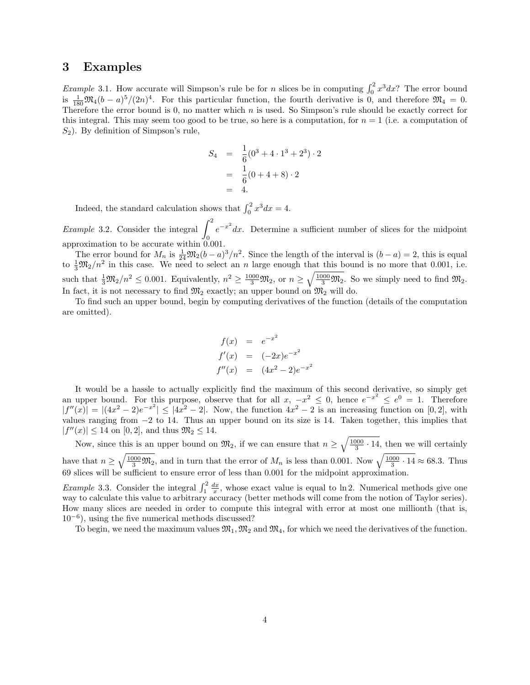#### 3 Examples

*Example* 3.1. How accurate will Simpson's rule be for *n* slices be in computing  $\int_0^2 x^3 dx$ ? The error bound is  $\frac{1}{180}\mathfrak{M}_4(b-a)^5/(2n)^4$ . For this particular function, the fourth derivative is 0, and therefore  $\mathfrak{M}_4 = 0$ . Therefore the error bound is 0, no matter which  $n$  is used. So Simpson's rule should be exactly correct for this integral. This may seem too good to be true, so here is a computation, for  $n = 1$  (i.e. a computation of  $S_2$ ). By definition of Simpson's rule,

$$
S_4 = \frac{1}{6}(0^3 + 4 \cdot 1^3 + 2^3) \cdot 2
$$
  
=  $\frac{1}{6}(0 + 4 + 8) \cdot 2$   
= 4.

Indeed, the standard calculation shows that  $\int_0^2 x^3 dx = 4$ .

*Example* 3.2. Consider the integral  $\int_1^2$ 0  $e^{-x^2}dx$ . Determine a sufficient number of slices for the midpoint approximation to be accurate within 0.001.

The error bound for  $M_n$  is  $\frac{1}{24}\mathfrak{M}_2(b-a)^3/n^2$ . Since the length of the interval is  $(b-a)=2$ , this is equal to  $\frac{1}{3} \mathfrak{M}_2/n^2$  in this case. We need to select an n large enough that this bound is no more that 0.001, i.e. such that  $\frac{1}{3}\mathfrak{M}_2/n^2 \leq 0.001$ . Equivalently,  $n^2 \geq \frac{1000}{3}\mathfrak{M}_2$ , or  $n \geq \sqrt{\frac{1000}{3}\mathfrak{M}_2}$ . So we simply need to find  $\mathfrak{M}_2$ . In fact, it is not necessary to find  $\mathfrak{M}_2$  exactly; an upper bound on  $\mathfrak{M}_2$  will do.

To find such an upper bound, begin by computing derivatives of the function (details of the computation are omitted).

$$
f(x) = e^{-x^2}
$$
  
\n
$$
f'(x) = (-2x)e^{-x^2}
$$
  
\n
$$
f''(x) = (4x^2 - 2)e^{-x^2}
$$

It would be a hassle to actually explicitly find the maximum of this second derivative, so simply get an upper bound. For this purpose, observe that for all  $x, -x^2 \leq 0$ , hence  $e^{-x^2} \leq e^0 = 1$ . Therefore  $|f''(x)| = |(4x^2 - 2)e^{-x^2}| \le |4x^2 - 2|$ . Now, the function  $4x^2 - 2$  is an increasing function on [0, 2], with values ranging from  $-2$  to 14. Thus an upper bound on its size is 14. Taken together, this implies that  $|f''(x)| \le 14$  on [0, 2], and thus  $\mathfrak{M}_2 \le 14$ .

Now, since this is an upper bound on  $\mathfrak{M}_2$ , if we can ensure that  $n \geq \sqrt{\frac{1000}{3} \cdot 14}$ , then we will certainly have that  $n \geq \sqrt{\frac{1000}{3} \mathfrak{M}_2}$ , and in turn that the error of  $M_n$  is less than 0.001. Now  $\sqrt{\frac{1000}{3} \cdot 14} \approx 68.3$ . Thus 69 slices will be sufficient to ensure error of less than 0.001 for the midpoint approximation.

*Example* 3.3. Consider the integral  $\int_1^2 \frac{dx}{x}$ , whose exact value is equal to ln 2. Numerical methods give one way to calculate this value to arbitrary accuracy (better methods will come from the notion of Taylor series). How many slices are needed in order to compute this integral with error at most one millionth (that is, 10<sup>−</sup><sup>6</sup> ), using the five numerical methods discussed?

To begin, we need the maximum values  $\mathfrak{M}_1, \mathfrak{M}_2$  and  $\mathfrak{M}_4$ , for which we need the derivatives of the function.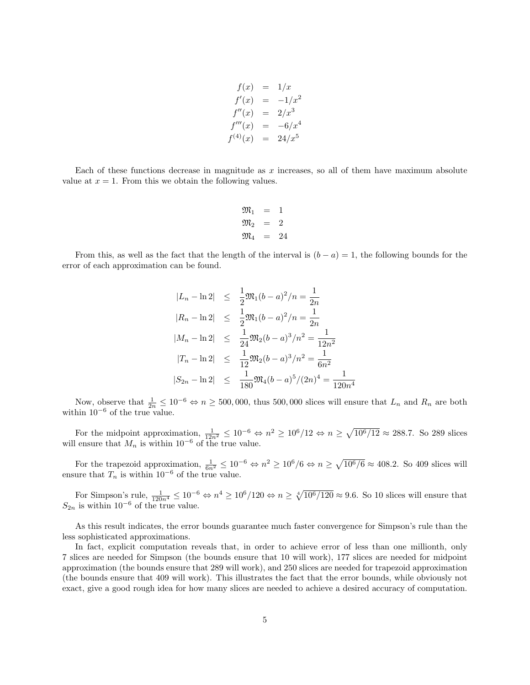$$
f(x) = 1/x
$$
  
\n
$$
f'(x) = -1/x^2
$$
  
\n
$$
f''(x) = 2/x^3
$$
  
\n
$$
f'''(x) = -6/x^4
$$
  
\n
$$
f^{(4)}(x) = 24/x^5
$$

Each of these functions decrease in magnitude as  $x$  increases, so all of them have maximum absolute value at  $x = 1$ . From this we obtain the following values.

$$
\begin{array}{rcl}\n\mathfrak{M}_1 &=& 1\\ \n\mathfrak{M}_2 &=& 2\\ \n\mathfrak{M}_4 &=& 24\n\end{array}
$$

From this, as well as the fact that the length of the interval is  $(b - a) = 1$ , the following bounds for the error of each approximation can be found.

$$
|L_n - \ln 2| \leq \frac{1}{2} \mathfrak{M}_1 (b - a)^2 / n = \frac{1}{2n}
$$
  
\n
$$
|R_n - \ln 2| \leq \frac{1}{2} \mathfrak{M}_1 (b - a)^2 / n = \frac{1}{2n}
$$
  
\n
$$
|M_n - \ln 2| \leq \frac{1}{24} \mathfrak{M}_2 (b - a)^3 / n^2 = \frac{1}{12n^2}
$$
  
\n
$$
|T_n - \ln 2| \leq \frac{1}{12} \mathfrak{M}_2 (b - a)^3 / n^2 = \frac{1}{6n^2}
$$
  
\n
$$
|S_{2n} - \ln 2| \leq \frac{1}{180} \mathfrak{M}_4 (b - a)^5 / (2n)^4 = \frac{1}{120n^4}
$$

Now, observe that  $\frac{1}{2n} \leq 10^{-6} \Leftrightarrow n \geq 500,000$ , thus 500,000 slices will ensure that  $L_n$  and  $R_n$  are both within  $10^{-6}$  of the true value.

For the midpoint approximation,  $\frac{1}{12n^2} \leq 10^{-6} \Leftrightarrow n^2 \geq 10^6/12 \Leftrightarrow n \geq \sqrt{10^6/12} \approx 288.7$ . So 289 slices will ensure that  $M_n$  is within 10<sup>-6</sup> of the true value.

For the trapezoid approximation,  $\frac{1}{6n^2} \leq 10^{-6} \Leftrightarrow n^2 \geq 10^6/6 \Leftrightarrow n \geq \sqrt{10^6/6} \approx 408.2$ . So 409 slices will ensure that  $T_n$  is within 10<sup>-6</sup> of the true value.

For Simpson's rule,  $\frac{1}{120n^4} \leq 10^{-6} \Leftrightarrow n^4 \geq 10^6/120 \Leftrightarrow n \geq \sqrt[4]{10^6/120} \approx 9.6$ . So 10 slices will ensure that  $S_{2n}$  is within 10<sup>-6</sup> of the true value.

As this result indicates, the error bounds guarantee much faster convergence for Simpson's rule than the less sophisticated approximations.

In fact, explicit computation reveals that, in order to achieve error of less than one millionth, only 7 slices are needed for Simpson (the bounds ensure that 10 will work), 177 slices are needed for midpoint approximation (the bounds ensure that 289 will work), and 250 slices are needed for trapezoid approximation (the bounds ensure that 409 will work). This illustrates the fact that the error bounds, while obviously not exact, give a good rough idea for how many slices are needed to achieve a desired accuracy of computation.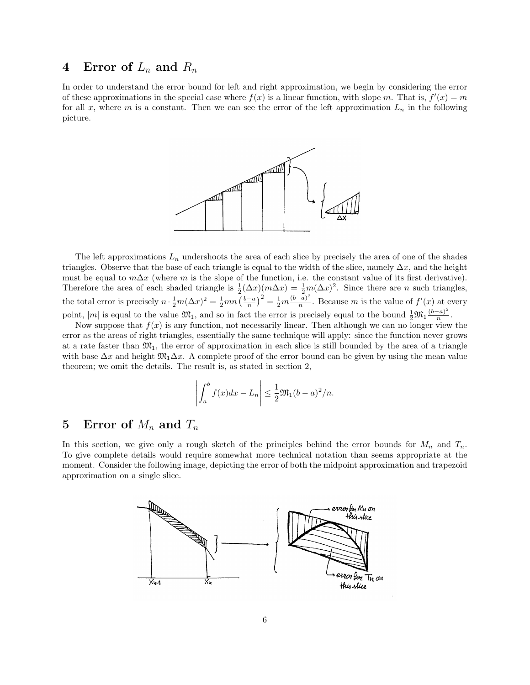### 4 Error of  $L_n$  and  $R_n$

In order to understand the error bound for left and right approximation, we begin by considering the error of these approximations in the special case where  $f(x)$  is a linear function, with slope m. That is,  $f'(x) = m$ for all x, where m is a constant. Then we can see the error of the left approximation  $L_n$  in the following picture.



The left approximations  $L_n$  undershoots the area of each slice by precisely the area of one of the shades triangles. Observe that the base of each triangle is equal to the width of the slice, namely  $\Delta x$ , and the height must be equal to  $m\Delta x$  (where m is the slope of the function, i.e. the constant value of its first derivative). Therefore the area of each shaded triangle is  $\frac{1}{2}(\Delta x)(m\Delta x) = \frac{1}{2}m(\Delta x)^2$ . Since there are n such triangles, the total error is precisely  $n \cdot \frac{1}{2}m(\Delta x)^2 = \frac{1}{2}mn\left(\frac{b-a}{n}\right)^2 = \frac{1}{2}m\frac{(b-a)^2}{n}$  $\frac{(-a)^2}{n}$ . Because *m* is the value of  $f'(x)$  at every point, |m| is equal to the value  $\mathfrak{M}_1$ , and so in fact the error is precisely equal to the bound  $\frac{1}{2}\mathfrak{M}_1\frac{(b-a)^2}{n}$  $\frac{a_1}{n}$ .

Now suppose that  $f(x)$  is any function, not necessarily linear. Then although we can no longer view the error as the areas of right triangles, essentially the same technique will apply: since the function never grows at a rate faster than  $\mathfrak{M}_1$ , the error of approximation in each slice is still bounded by the area of a triangle with base  $\Delta x$  and height  $\mathfrak{M}_1\Delta x$ . A complete proof of the error bound can be given by using the mean value theorem; we omit the details. The result is, as stated in section 2,

$$
\left| \int_a^b f(x)dx - L_n \right| \le \frac{1}{2} \mathfrak{M}_1(b-a)^2/n.
$$

# 5 Error of  $M_n$  and  $T_n$

In this section, we give only a rough sketch of the principles behind the error bounds for  $M_n$  and  $T_n$ . To give complete details would require somewhat more technical notation than seems appropriate at the moment. Consider the following image, depicting the error of both the midpoint approximation and trapezoid approximation on a single slice.